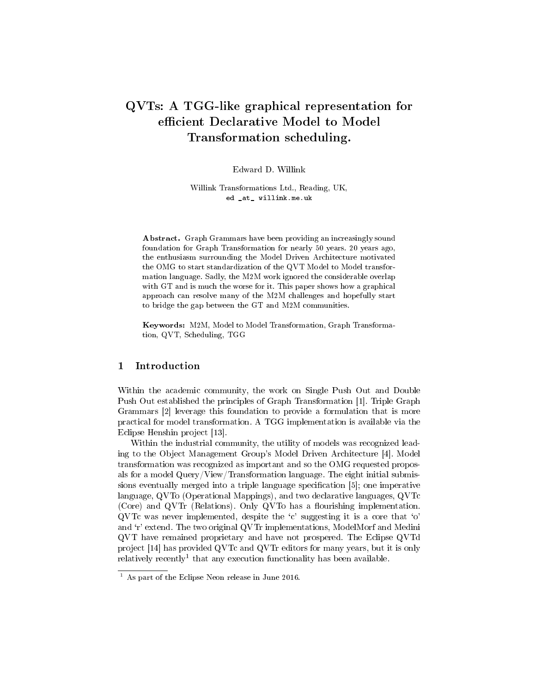# QVTs: A TGG-like graphical representation for efficient Declarative Model to Model Transformation scheduling.

Edward D. Willink

Willink Transformations Ltd., Reading, UK, ed \_at\_ willink.me.uk

Abstract. Graph Grammars have been providing an increasingly sound foundation for Graph Transformation for nearly 50 years. 20 years ago, the enthusiasm surrounding the Model Driven Architecture motivated the OMG to start standardization of the QVT Model to Model transformation language. Sadly, the M2M work ignored the considerable overlap with GT and is much the worse for it. This paper shows how a graphical approach can resolve many of the M2M challenges and hopefully start to bridge the gap between the GT and M2M communities.

Keywords: M2M, Model to Model Transformation, Graph Transformation, QVT, Scheduling, TGG

# 1 Introduction

Within the academic community, the work on Single Push Out and Double Push Out established the principles of Graph Transformation [1]. Triple Graph Grammars [2] leverage this foundation to provide a formulation that is more practical for model transformation. A TGG implementation is available via the Eclipse Henshin project [13].

Within the industrial community, the utility of models was recognized leading to the Object Management Group's Model Driven Architecture [4]. Model transformation was recognized as important and so the OMG requested proposals for a model Query/View/Transformation language. The eight initial submissions eventually merged into a triple language specification [5]; one imperative language, QVTo (Operational Mappings), and two declarative languages, QVTc (Core) and QVTr (Relations). Only QVTo has a flourishing implementation.  $\rm QVTe$  was never implemented, despite the 'c' suggesting it is a core that 'o' and `r' extend. The two original QVTr implementations, ModelMorf and Medini QVT have remained proprietary and have not prospered. The Eclipse QVTd project [14] has provided QVTc and QVTr editors for many years, but it is only relatively recently<sup>1</sup> that any execution functionality has been available.

 $\frac{1}{1}$  As part of the Eclipse Neon release in June 2016.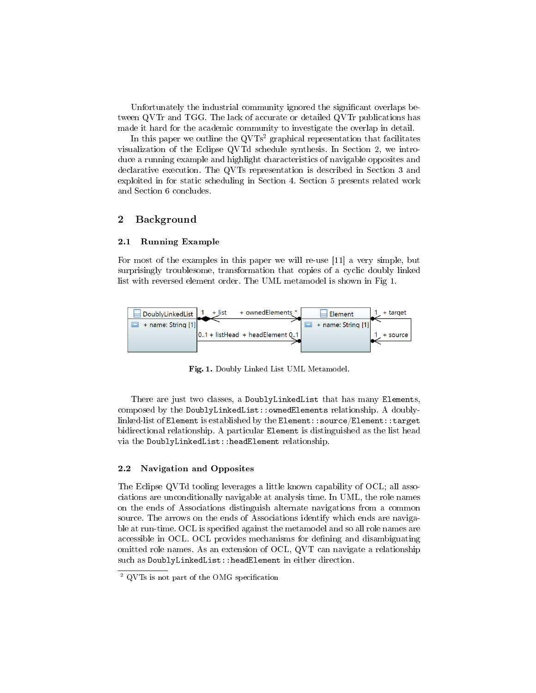Unfortunately the industrial community ignored the significant overlaps between QVTr and TGG. The lack of accurate or detailed QVTr publications has made it hard for the academic community to investigate the overlap in detail.

In this paper we outline the  $QVTs^2$  graphical representation that facilitates visualization of the Eclipse QVTd schedule synthesis. In Section 2, we introduce a running example and highlight characteristics of navigable opposites and declarative execution. The QVTs representation is described in Section 3 and exploited in for static scheduling in Section 4. Section 5 presents related work and Section 6 concludes.

# 2 Background

#### 2.1 Running Example

For most of the examples in this paper we will re-use [11] a very simple, but surprisingly troublesome, transformation that copies of a cyclic doubly linked list with reversed element order. The UML metamodel is shown in Fig 1.



Fig. 1. Doubly Linked List UML Metamodel.

There are just two classes, a DoublyLinkedList that has many Elements, composed by the DoublyLinkedList::ownedElements relationship. A doublylinked-list of Element is established by the Element::source/Element::target bidirectional relationship. A particular Element is distinguished as the list head via the DoublyLinkedList::headElement relationship.

#### 2.2 Navigation and Opposites

The Eclipse QVTd tooling leverages a little known capability of OCL; all associations are unconditionally navigable at analysis time. In UML, the role names on the ends of Associations distinguish alternate navigations from a common source. The arrows on the ends of Associations identify which ends are navigable at run-time. OCL is specified against the metamodel and so all role names are accessible in OCL. OCL provides mechanisms for defining and disambiguating omitted role names. As an extension of OCL, QVT can navigate a relationship such as DoublyLinkedList::headElement in either direction.

 $2$  QVTs is not part of the OMG specification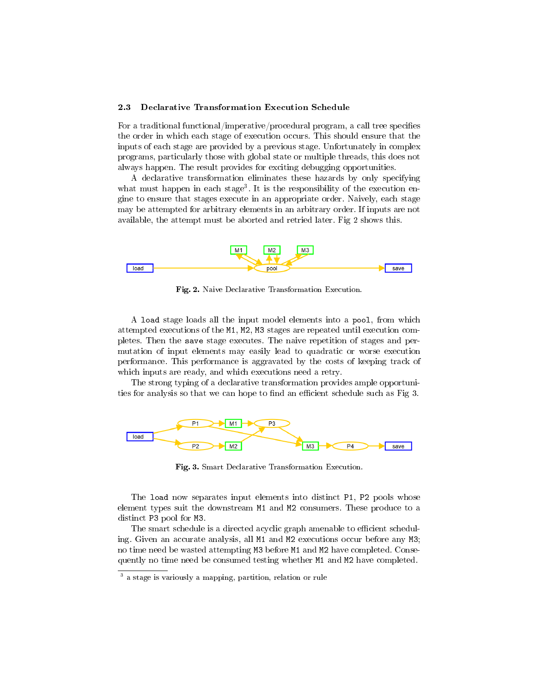#### 2.3 Declarative Transformation Execution Schedule

For a traditional functional/imperative/procedural program, a call tree specifies the order in which each stage of execution occurs. This should ensure that the inputs of each stage are provided by a previous stage. Unfortunately in complex programs, particularly those with global state or multiple threads, this does not always happen. The result provides for exciting debugging opportunities.

A declarative transformation eliminates these hazards by only specifying what must happen in each stage<sup>3</sup>. It is the responsibility of the execution engine to ensure that stages execute in an appropriate order. Naively, each stage may be attempted for arbitrary elements in an arbitrary order. If inputs are not available, the attempt must be aborted and retried later. Fig 2 shows this.



Fig. 2. Naive Declarative Transformation Execution.

A load stage loads all the input model elements into a pool, from which attempted executions of the M1, M2, M3 stages are repeated until execution completes. Then the save stage executes. The naive repetition of stages and permutation of input elements may easily lead to quadratic or worse execution performance. This performance is aggravated by the costs of keeping track of which inputs are ready, and which executions need a retry.

The strong typing of a declarative transformation provides ample opportunities for analysis so that we can hope to find an efficient schedule such as Fig 3.



Fig. 3. Smart Declarative Transformation Execution.

The load now separates input elements into distinct P1, P2 pools whose element types suit the downstream M1 and M2 consumers. These produce to a distinct P3 pool for M3.

The smart schedule is a directed acyclic graph amenable to efficient scheduling. Given an accurate analysis, all M1 and M2 executions occur before any M3; no time need be wasted attempting M3 before M1 and M2 have completed. Consequently no time need be consumed testing whether M1 and M2 have completed.

<sup>3</sup> a stage is variously a mapping, partition, relation or rule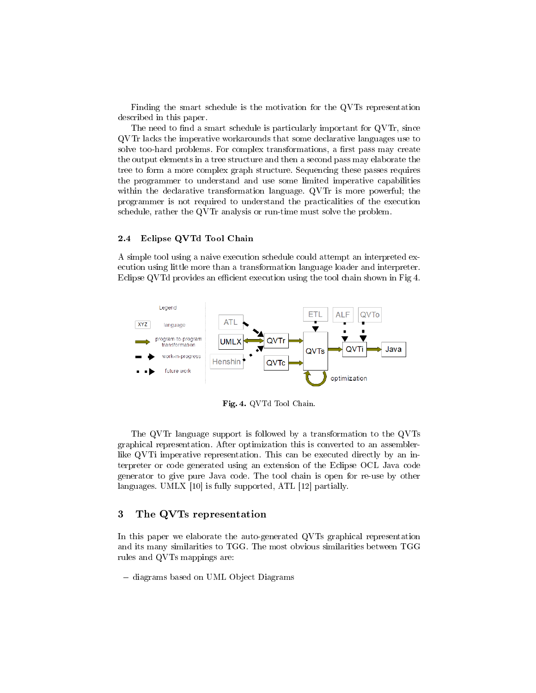Finding the smart schedule is the motivation for the QVTs representation described in this paper.

The need to find a smart schedule is particularly important for QVTr, since QVTr lacks the imperative workarounds that some declarative languages use to solve too-hard problems. For complex transformations, a first pass may create the output elements in a tree structure and then a second pass may elaborate the tree to form a more complex graph structure. Sequencing these passes requires the programmer to understand and use some limited imperative capabilities within the declarative transformation language. QVTr is more powerful; the programmer is not required to understand the practicalities of the execution schedule, rather the QVTr analysis or run-time must solve the problem.

#### 2.4 Eclipse QVTd Tool Chain

A simple tool using a naive execution schedule could attempt an interpreted execution using little more than a transformation language loader and interpreter. Eclipse QVTd provides an efficient execution using the tool chain shown in Fig 4.



Fig. 4. QVTd Tool Chain.

The QVTr language support is followed by a transformation to the QVTs graphical representation. After optimization this is converted to an assemblerlike QVTi imperative representation. This can be executed directly by an interpreter or code generated using an extension of the Eclipse OCL Java code generator to give pure Java code. The tool chain is open for re-use by other languages. UMLX [10] is fully supported, ATL [12] partially.

# 3 The QVTs representation

In this paper we elaborate the auto-generated QVTs graphical representation and its many similarities to TGG. The most obvious similarities between TGG rules and QVTs mappings are:

- diagrams based on UML Object Diagrams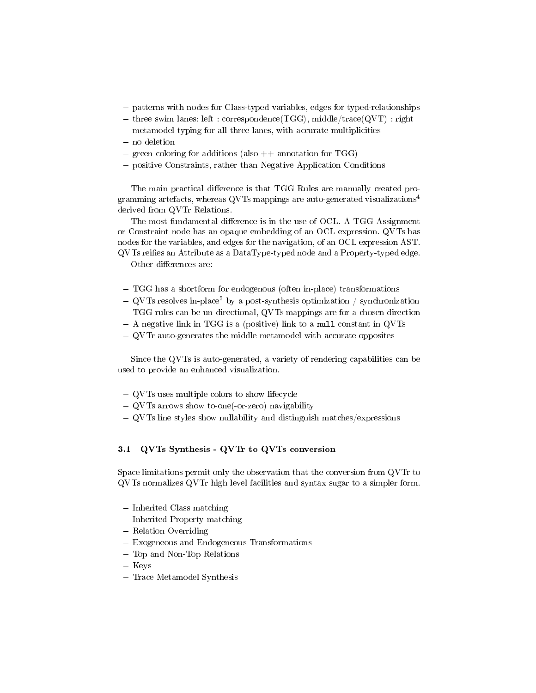- patterns with nodes for Class-typed variables, edges for typed-relationships
- three swim lanes: left : correspondence(TGG), middle/trace(QVT) : right
- metamodel typing for all three lanes, with accurate multiplicities
- no deletion
- green coloring for additions (also  $++$  annotation for TGG)
- positive Constraints, rather than Negative Application Conditions

The main practical difference is that TGG Rules are manually created programming artefacts, whereas QVTs mappings are auto-generated visualizations<sup>4</sup> derived from QVTr Relations.

The most fundamental difference is in the use of OCL. A TGG Assignment or Constraint node has an opaque embedding of an OCL expression. QVTs has nodes for the variables, and edges for the navigation, of an OCL expression AST.  $QVTs$  reifies an Attribute as a DataType-typed node and a Property-typed edge.

Other differences are:

- TGG has a shortform for endogenous (often in-place) transformations
- $\sim$  QVTs resolves in-place<sup>5</sup> by a post-synthesis optimization / synchronization
- TGG rules can be un-directional, QVTs mappings are for a chosen direction
- A negative link in TGG is a (positive) link to a null constant in QVTs
- QVTr auto-generates the middle metamodel with accurate opposites

Since the QVTs is auto-generated, a variety of rendering capabilities can be used to provide an enhanced visualization.

- QVTs uses multiple colors to show lifecycle
- QVTs arrows show to-one(-or-zero) navigability
- QVTs line styles show nullability and distinguish matches/expressions

#### 3.1 QVTs Synthesis - QVTr to QVTs conversion

Space limitations permit only the observation that the conversion from QVTr to QVTs normalizes QVTr high level facilities and syntax sugar to a simpler form.

- Inherited Class matching
- Inherited Property matching
- Relation Overriding
- Exogeneous and Endogeneous Transformations
- Top and Non-Top Relations
- Keys
- Trace Metamodel Synthesis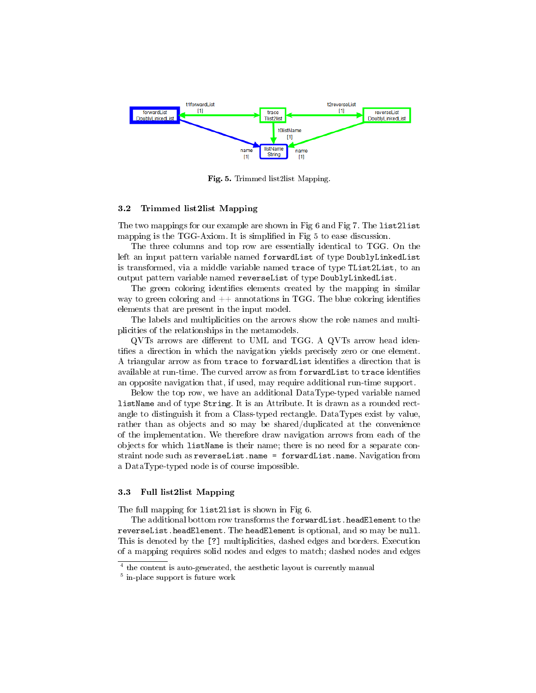

Fig. 5. Trimmed list2list Mapping.

#### 3.2 Trimmed list2list Mapping

The two mappings for our example are shown in Fig 6 and Fig 7. The list2list mapping is the TGG-Axiom. It is simplified in Fig 5 to ease discussion.

The three columns and top row are essentially identical to TGG. On the left an input pattern variable named forwardList of type DoublyLinkedList is transformed, via a middle variable named trace of type TList2List, to an output pattern variable named reverseList of type DoublyLinkedList.

The green coloring identifies elements created by the mapping in similar way to green coloring and  $++$  annotations in TGG. The blue coloring identifies elements that are present in the input model.

The labels and multiplicities on the arrows show the role names and multiplicities of the relationships in the metamodels.

 $\mathrm{QVIS}$  arrows are different to UML and TGG. A  $\mathrm{QVIS}$  arrow head identifies a direction in which the navigation yields precisely zero or one element. A triangular arrow as from trace to forwardList identifies a direction that is available at run-time. The curved arrow as from forwardList to trace identifies an opposite navigation that, if used, may require additional run-time support.

Below the top row, we have an additional DataType-typed variable named listName and of type String. It is an Attribute. It is drawn as a rounded rectangle to distinguish it from a Class-typed rectangle. DataTypes exist by value, rather than as objects and so may be shared/duplicated at the convenience of the implementation. We therefore draw navigation arrows from each of the objects for which listName is their name; there is no need for a separate constraint node such as reverseList.name = forwardList.name. Navigation from a DataType-typed node is of course impossible.

#### 3.3 Full list2list Mapping

The full mapping for list2list is shown in Fig 6.

The additional bottom row transforms the forwardList.headElement to the reverseList.headElement. The headElement is optional, and so may be null. This is denoted by the [?] multiplicities, dashed edges and borders. Execution of a mapping requires solid nodes and edges to match; dashed nodes and edges

<sup>4</sup> the content is auto-generated, the aesthetic layout is currently manual

<sup>5</sup> in-place support is future work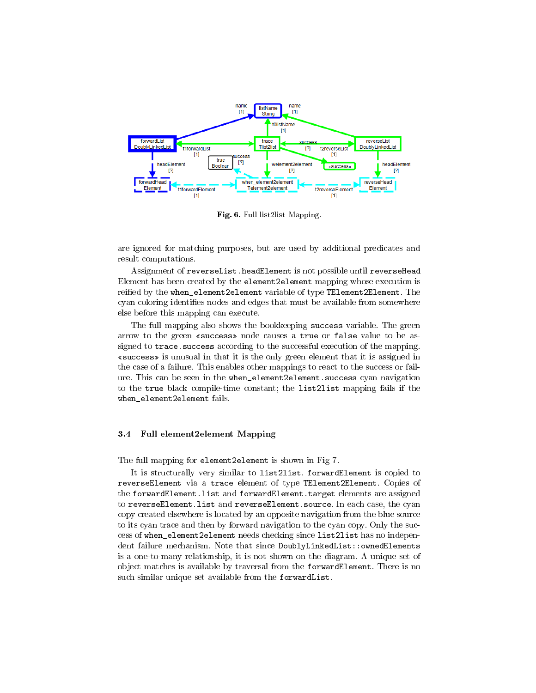

Fig. 6. Full list2list Mapping.

are ignored for matching purposes, but are used by additional predicates and result computations.

Assignment of reverseList.headElement is not possible until reverseHead Element has been created by the element2element mapping whose execution is reified by the when\_element2element variable of type TElement2Element. The cyan coloring identifies nodes and edges that must be available from somewhere else before this mapping can execute.

The full mapping also shows the bookkeeping success variable. The green arrow to the green «success» node causes a true or false value to be assigned to trace. success according to the successful execution of the mapping. success is unusual in that it is the only green element that it is assigned in the case of a failure. This enables other mappings to react to the success or failure. This can be seen in the when\_element2element.success cyan navigation to the true black compile-time constant; the list2list mapping fails if the when\_element2element fails.

### 3.4 Full element2element Mapping

The full mapping for element2element is shown in Fig 7.

It is structurally very similar to list2list. forwardElement is copied to reverseElement via a trace element of type TElement2Element. Copies of the forwardElement.list and forwardElement.target elements are assigned to reverseElement.list and reverseElement.source. In each case, the cyan copy created elsewhere is located by an opposite navigation from the blue source to its cyan trace and then by forward navigation to the cyan copy. Only the success of when\_element2element needs checking since list2list has no independent failure mechanism. Note that since DoublyLinkedList::ownedElements is a one-to-many relationship, it is not shown on the diagram. A unique set of object matches is available by traversal from the forwardElement. There is no such similar unique set available from the forwardList.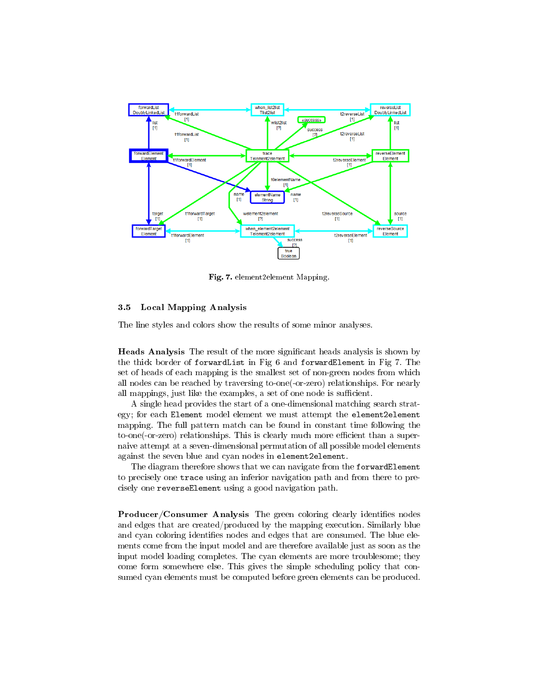

Fig. 7. element 2element Mapping.

#### 3.5 Local Mapping Analysis

The line styles and colors show the results of some minor analyses.

Heads Analysis The result of the more significant heads analysis is shown by the thick border of forwardList in Fig 6 and forwardElement in Fig 7. The set of heads of each mapping is the smallest set of non-green nodes from which all nodes can be reached by traversing to-one(-or-zero) relationships. For nearly all mappings, just like the examples, a set of one node is sufficient.

A single head provides the start of a one-dimensional matching search strategy; for each Element model element we must attempt the element2element mapping. The full pattern match can be found in constant time following the to-one(-or-zero) relationships. This is clearly much more efficient than a supernaive attempt at a seven-dimensional permutation of all possible model elements against the seven blue and cyan nodes in element2element.

The diagram therefore shows that we can navigate from the forwardElement to precisely one trace using an inferior navigation path and from there to precisely one reverseElement using a good navigation path.

Producer/Consumer Analysis The green coloring clearly identifies nodes and edges that are created/produced by the mapping execution. Similarly blue and cyan coloring identifies nodes and edges that are consumed. The blue elements come from the input model and are therefore available just as soon as the input model loading completes. The cyan elements are more troublesome; they come form somewhere else. This gives the simple scheduling policy that consumed cyan elements must be computed before green elements can be produced.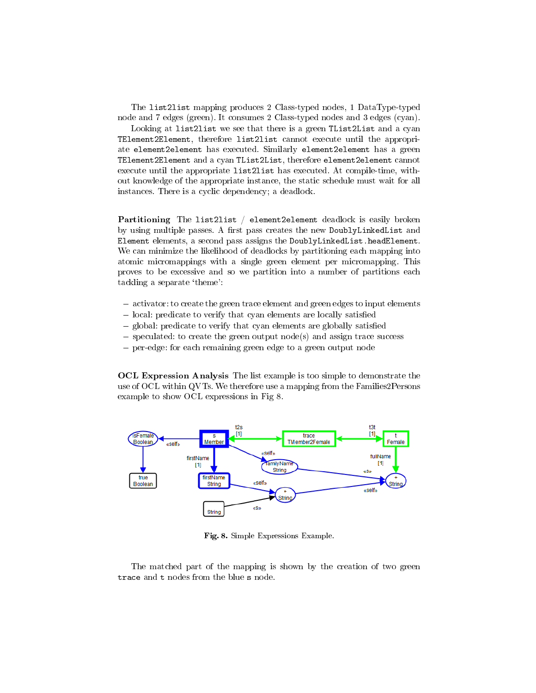The list2list mapping produces 2 Class-typed nodes, 1 DataType-typed node and 7 edges (green). It consumes 2 Class-typed nodes and 3 edges (cyan).

Looking at list2list we see that there is a green TList2List and a cyan TElement2Element, therefore list2list cannot execute until the appropriate element2element has executed. Similarly element2element has a green TElement2Element and a cyan TList2List, therefore element2element cannot execute until the appropriate list2list has executed. At compile-time, without knowledge of the appropriate instance, the static schedule must wait for all instances. There is a cyclic dependency; a deadlock.

Partitioning The list2list / element2element deadlock is easily broken by using multiple passes. A first pass creates the new DoublyLinkedList and Element elements, a second pass assigns the DoublyLinkedList.headElement. We can minimize the likelihood of deadlocks by partitioning each mapping into atomic micromappings with a single green element per micromapping. This proves to be excessive and so we partition into a number of partitions each tackling a separate `theme':

- activator: to create the green trace element and green edges to input elements
- local: predicate to verify that cyan elements are locally satisfied
- global: predicate to verify that cyan elements are globally satisfied
- $-$  speculated: to create the green output node(s) and assign trace success
- per-edge: for each remaining green edge to a green output node

OCL Expression Analysis The list example is too simple to demonstrate the use of OCL within QVTs. We therefore use a mapping from the Families2Persons example to show OCL expressions in Fig 8.



Fig. 8. Simple Expressions Example.

The matched part of the mapping is shown by the creation of two green trace and t nodes from the blue s node.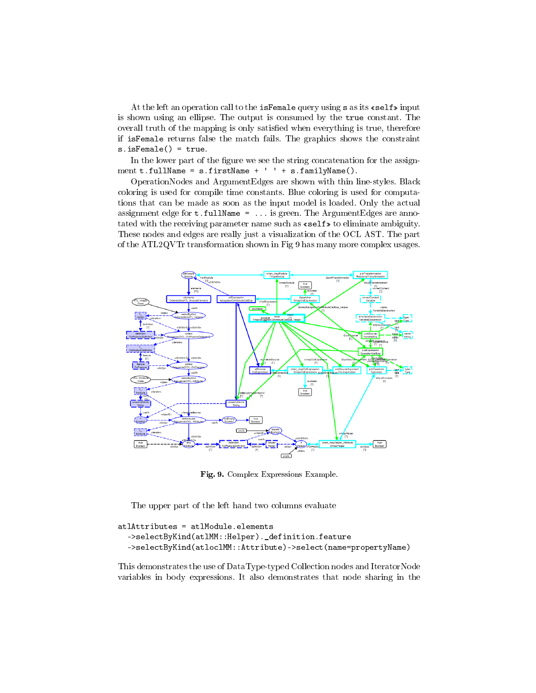At the left an operation call to the isFemale query using s as its  $\ll$  self  $\gg$  input is shown using an ellipse. The output is consumed by the true constant. The overall truth of the mapping is only satisfied when everything is true, therefore if isFemale returns false the match fails. The graphics shows the constraint s.isFemale() = true.

In the lower part of the figure we see the string concatenation for the assignment **t**.fullName = s.firstName + ' ' + s.familyName().

OperationNodes and ArgumentEdges are shown with thin line-styles. Black coloring is used for compile time constants. Blue coloring is used for computations that can be made as soon as the input model is loaded. Only the actual assignment edge for  $t.t$ ullName = ... is green. The ArgumentEdges are annotated with the receiving parameter name such as  $\kappa$  self  $\ast$  to eliminate ambiguity. These nodes and edges are really just a visualization of the OCL AST. The part of the ATL2QVTr transformation shown in Fig 9 has many more complex usages.



Fig. 9. Complex Expressions Example.

The upper part of the left hand two columns evaluate

```
atlAttributes = atlModule.elements
->selectByKind(atlMM::Helper)._definition.feature
->selectByKind(atloclMM::Attribute)->select(name=propertyName)
```
This demonstrates the use of DataType-typed Collection nodes and IteratorNode variables in body expressions. It also demonstrates that node sharing in the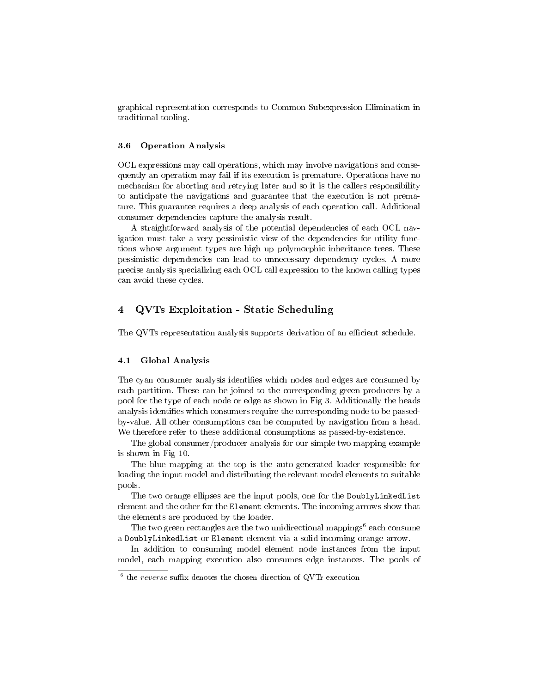graphical representation corresponds to Common Subexpression Elimination in traditional tooling.

#### 3.6 Operation Analysis

OCL expressions may call operations, which may involve navigations and consequently an operation may fail if its execution is premature. Operations have no mechanism for aborting and retrying later and so it is the callers responsibility to anticipate the navigations and guarantee that the execution is not premature. This guarantee requires a deep analysis of each operation call. Additional consumer dependencies capture the analysis result.

A straightforward analysis of the potential dependencies of each OCL navigation must take a very pessimistic view of the dependencies for utility functions whose argument types are high up polymorphic inheritance trees. These pessimistic dependencies can lead to unnecessary dependency cycles. A more precise analysis specializing each OCL call expression to the known calling types can avoid these cycles.

# 4 QVTs Exploitation - Static Scheduling

The QVTs representation analysis supports derivation of an efficient schedule.

#### 4.1 Global Analysis

The cyan consumer analysis identifies which nodes and edges are consumed by each partition. These can be joined to the corresponding green producers by a pool for the type of each node or edge as shown in Fig 3. Additionally the heads analysis identifies which consumers require the corresponding node to be passedby-value. All other consumptions can be computed by navigation from a head. We therefore refer to these additional consumptions as passed-by-existence.

The global consumer/producer analysis for our simple two mapping example is shown in Fig 10.

The blue mapping at the top is the auto-generated loader responsible for loading the input model and distributing the relevant model elements to suitable pools.

The two orange ellipses are the input pools, one for the DoublyLinkedList element and the other for the Element elements. The incoming arrows show that the elements are produced by the loader.

The two green rectangles are the two unidirectional mappings $^6$  each consume a DoublyLinkedList or Element element via a solid incoming orange arrow.

In addition to consuming model element node instances from the input model, each mapping execution also consumes edge instances. The pools of

 $6$  the *reverse* suffix denotes the chosen direction of QVTr execution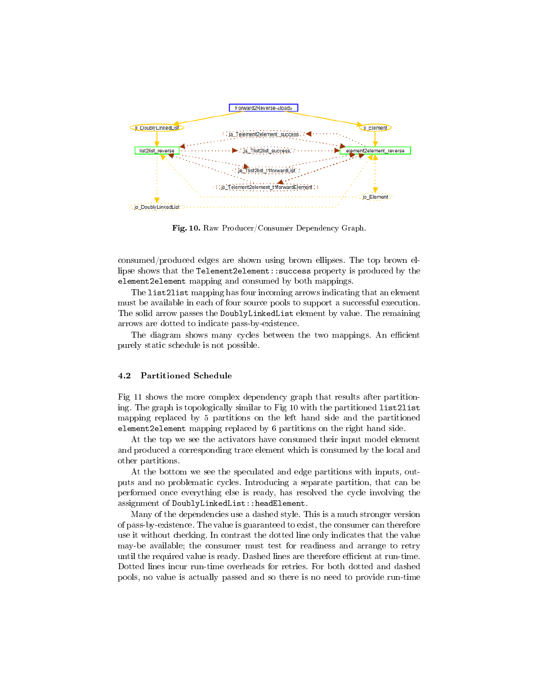

Fig. 10. Raw Producer/Consumer Dependency Graph.

consumed/produced edges are shown using brown ellipses. The top brown ellipse shows that the Telement2element::success property is produced by the element2element mapping and consumed by both mappings.

The list2list mapping has four incoming arrows indicating that an element must be available in each of four source pools to support a successful execution. The solid arrow passes the DoublyLinkedList element by value. The remaining arrows are dotted to indicate pass-by-existence.

The diagram shows many cycles between the two mappings. An efficient purely static schedule is not possible.

#### 4.2 Partitioned Schedule

Fig 11 shows the more complex dependency graph that results after partitioning. The graph is topologically similar to Fig 10 with the partitioned list2list mapping replaced by 5 partitions on the left hand side and the partitioned element2element mapping replaced by 6 partitions on the right hand side.

At the top we see the activators have consumed their input model element and produced a corresponding trace element which is consumed by the local and other partitions.

At the bottom we see the speculated and edge partitions with inputs, outputs and no problematic cycles. Introducing a separate partition, that can be performed once everything else is ready, has resolved the cycle involving the assignment of DoublyLinkedList::headElement.

Many of the dependencies use a dashed style. This is a much stronger version of pass-by-existence. The value is guaranteed to exist, the consumer can therefore use it without checking. In contrast the dotted line only indicates that the value may-be available; the consumer must test for readiness and arrange to retry until the required value is ready. Dashed lines are therefore efficient at run-time. Dotted lines incur run-time overheads for retries. For both dotted and dashed pools, no value is actually passed and so there is no need to provide run-time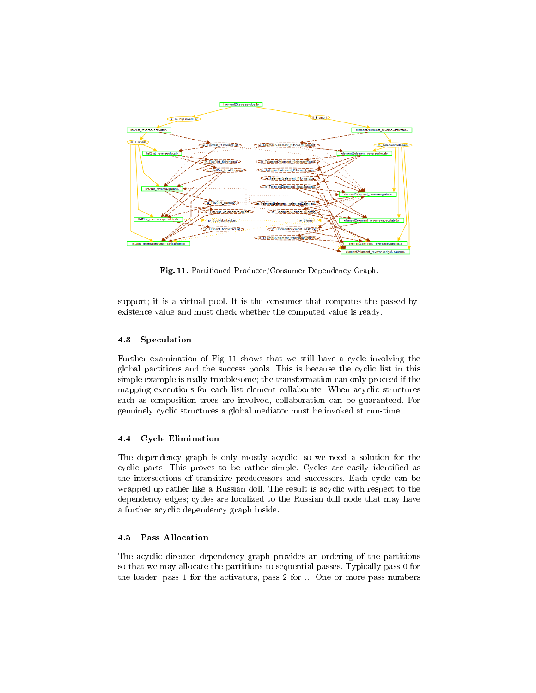

Fig. 11. Partitioned Producer/Consumer Dependency Graph.

support; it is a virtual pool. It is the consumer that computes the passed-byexistence value and must check whether the computed value is ready.

#### 4.3 Speculation

Further examination of Fig 11 shows that we still have a cycle involving the global partitions and the success pools. This is because the cyclic list in this simple example is really troublesome; the transformation can only proceed if the mapping executions for each list element collaborate. When acyclic structures such as composition trees are involved, collaboration can be guaranteed. For genuinely cyclic structures a global mediator must be invoked at run-time.

# 4.4 Cycle Elimination

The dependency graph is only mostly acyclic, so we need a solution for the cyclic parts. This proves to be rather simple. Cycles are easily identified as the intersections of transitive predecessors and successors. Each cycle can be wrapped up rather like a Russian doll. The result is acyclic with respect to the dependency edges; cycles are localized to the Russian doll node that may have a further acyclic dependency graph inside.

#### 4.5 Pass Allocation

The acyclic directed dependency graph provides an ordering of the partitions so that we may allocate the partitions to sequential passes. Typically pass 0 for the loader, pass 1 for the activators, pass 2 for ... One or more pass numbers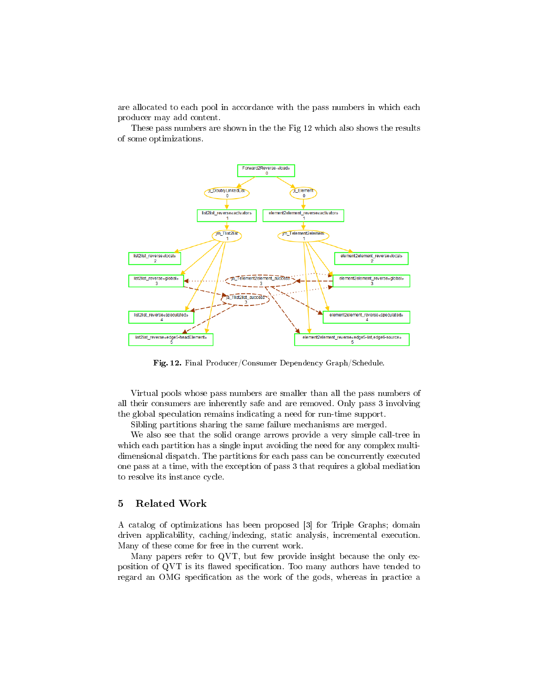are allocated to each pool in accordance with the pass numbers in which each producer may add content.

These pass numbers are shown in the the Fig 12 which also shows the results of some optimizations.



Fig. 12. Final Producer/Consumer Dependency Graph/Schedule.

Virtual pools whose pass numbers are smaller than all the pass numbers of all their consumers are inherently safe and are removed. Only pass 3 involving the global speculation remains indicating a need for run-time support.

Sibling partitions sharing the same failure mechanisms are merged.

We also see that the solid orange arrows provide a very simple call-tree in which each partition has a single input avoiding the need for any complex multidimensional dispatch. The partitions for each pass can be concurrently executed one pass at a time, with the exception of pass 3 that requires a global mediation to resolve its instance cycle.

#### 5 Related Work

A catalog of optimizations has been proposed [3] for Triple Graphs; domain driven applicability, caching/indexing, static analysis, incremental execution. Many of these come for free in the current work.

Many papers refer to QVT, but few provide insight because the only exposition of QVT is its flawed specification. Too many authors have tended to regard an OMG specification as the work of the gods, whereas in practice a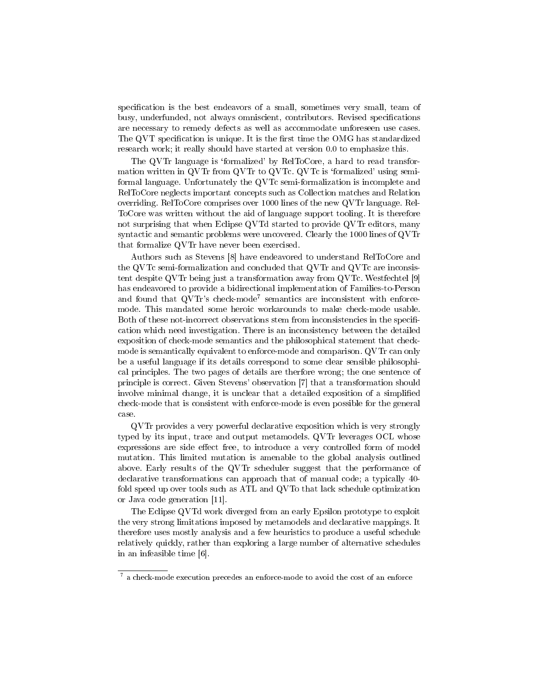specification is the best endeavors of a small, sometimes very small, team of busy, underfunded, not always omniscient, contributors. Revised specifications are necessary to remedy defects as well as accommodate unforeseen use cases. The QVT specification is unique. It is the first time the OMG has standardized research work; it really should have started at version 0.0 to emphasize this.

The QVTr language is 'formalized' by RelToCore, a hard to read transformation written in QVTr from QVTr to QVTc. QVTc is 'formalized' using semiformal language. Unfortunately the QVTc semi-formalization is incomplete and RelToCore neglects important concepts such as Collection matches and Relation overriding. RelToCore comprises over 1000 lines of the new QVTr language. Rel-ToCore was written without the aid of language support tooling. It is therefore not surprising that when Eclipse QVTd started to provide QVTr editors, many syntactic and semantic problems were uncovered. Clearly the 1000 lines of QVTr that formalize QVTr have never been exercised.

Authors such as Stevens [8] have endeavored to understand RelToCore and the QVTc semi-formalization and concluded that QVTr and QVTc are inconsistent despite QVTr being just a transformation away from QVTc. Westfechtel [9] has endeavored to provide a bidirectional implementation of Families-to-Person and found that QVTr's check-mode<sup>7</sup> semantics are inconsistent with enforcemode. This mandated some heroic workarounds to make check-mode usable. Both of these not-incorrect observations stem from inconsistencies in the specification which need investigation. There is an inconsistency between the detailed exposition of check-mode semantics and the philosophical statement that checkmode is semantically equivalent to enforce-mode and comparison. QVTr can only be a useful language if its details correspond to some clear sensible philosophical principles. The two pages of details are therfore wrong; the one sentence of principle is correct. Given Stevens' observation [7] that a transformation should involve minimal change, it is unclear that a detailed exposition of a simplified check-mode that is consistent with enforce-mode is even possible for the general case.

QVTr provides a very powerful declarative exposition which is very strongly typed by its input, trace and output metamodels. QVTr leverages OCL whose expressions are side effect free, to introduce a very controlled form of model mutation. This limited mutation is amenable to the global analysis outlined above. Early results of the QVTr scheduler suggest that the performance of declarative transformations can approach that of manual code; a typically 40 fold speed up over tools such as ATL and QVTo that lack schedule optimization or Java code generation [11].

The Eclipse QVTd work diverged from an early Epsilon prototype to exploit the very strong limitations imposed by metamodels and declarative mappings. It therefore uses mostly analysis and a few heuristics to produce a useful schedule relatively quickly, rather than exploring a large number of alternative schedules in an infeasible time [6].

<sup>&</sup>lt;sup>7</sup> a check-mode execution precedes an enforce-mode to avoid the cost of an enforce